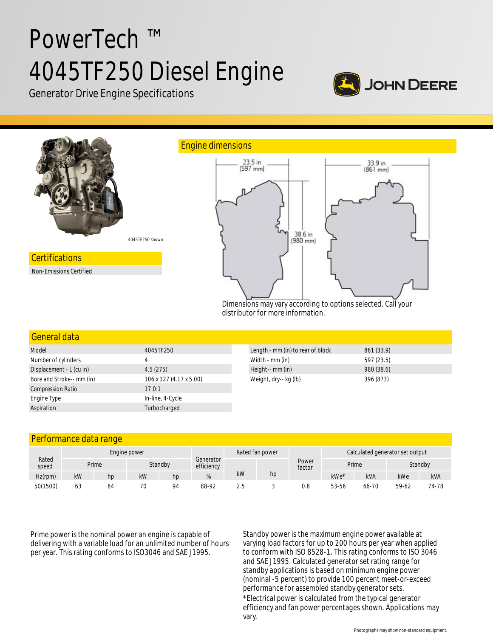# PowerTech ™ 4045TF250 Diesel Engine



Generator Drive Engine Specifications



#### General data

| Model                     | 4045TF250               |  |  |  |  |
|---------------------------|-------------------------|--|--|--|--|
| Number of cylinders       | 4                       |  |  |  |  |
| Displacement - L (cu in)  | 4.5(275)                |  |  |  |  |
| Bore and Stroke-- mm (in) | 106 x 127 (4.17 x 5.00) |  |  |  |  |
| <b>Compression Ratio</b>  | 17.0:1                  |  |  |  |  |
| Engine Type               | In-line, 4-Cycle        |  |  |  |  |
| Aspiration                | Turbocharged            |  |  |  |  |
|                           |                         |  |  |  |  |

| Length - mm (in) to rear of block | 861 (33.9) |
|-----------------------------------|------------|
| Width - mm (in)                   | 597 (23.5) |
| Height-- mm (in)                  | 980 (38.6) |
| Weight, dry-- kg (lb)             | 396 (873)  |

# Performance data range

|                |              | . .   |    |         |                         |    |                 |                 |                                 |            |         |            |
|----------------|--------------|-------|----|---------|-------------------------|----|-----------------|-----------------|---------------------------------|------------|---------|------------|
| Rated<br>speed | Engine power |       |    |         |                         |    | Rated fan power |                 | Calculated generator set output |            |         |            |
|                |              | Prime |    | Standby | Generator<br>efficiency |    |                 | Power<br>factor | Prime                           |            | Standby |            |
| Hz(rpm)        | kW           | hp    | kW | hp      | %                       | kW | hp              |                 | kWe*                            | <b>kVA</b> | kWe     | <b>kVA</b> |
| 50(1500)       | 63           | 84    | 70 | 94      | 88-92                   |    |                 | 0.8             | 53-56                           | 66-70      | 59-62   | 74-78      |

Prime power is the nominal power an engine is capable of delivering with a variable load for an unlimited number of hours per year. This rating conforms to ISO3046 and SAE J1995.

Standby power is the maximum engine power available at varying load factors for up to 200 hours per year when applied to conform with ISO 8528-1. This rating conforms to ISO 3046 and SAE J1995. Calculated generator set rating range for standby applications is based on minimum engine power (nominal -5 percent) to provide 100 percent meet-or-exceed performance for assembled standby generator sets. \*Electrical power is calculated from the typical generator efficiency and fan power percentages shown. Applications may vary.